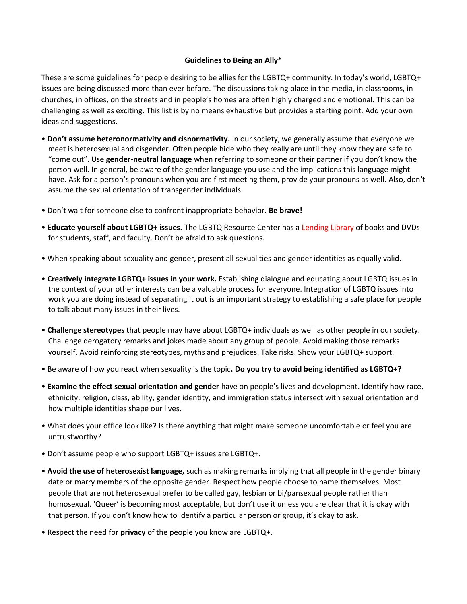## **Guidelines to Being an Ally\***

These are some guidelines for people desiring to be allies for the LGBTQ+ community. In today's world, LGBTQ+ issues are being discussed more than ever before. The discussions taking place in the media, in classrooms, in churches, in offices, on the streets and in people's homes are often highly charged and emotional. This can be challenging as well as exciting. This list is by no means exhaustive but provides a starting point. Add your own ideas and suggestions.

- **Don't assume heteronormativity and cisnormativity.** In our society, we generally assume that everyone we meet is heterosexual and cisgender. Often people hide who they really are until they know they are safe to "come out". Use **gender-neutral language** when referring to someone or their partner if you don't know the person well. In general, be aware of the gender language you use and the implications this language might have. Ask for a person's pronouns when you are first meeting them, provide your pronouns as well. Also, don't assume the sexual orientation of transgender individuals.
- Don't wait for someone else to confront inappropriate behavior. **Be brave!**
- **Educate yourself about LGBTQ+ issues.** The LGBTQ Resource Center has a Lending Library of books and DVDs for students, staff, and faculty. Don't be afraid to ask questions.
- When speaking about sexuality and gender, present all sexualities and gender identities as equally valid.
- **Creatively integrate LGBTQ+ issues in your work.** Establishing dialogue and educating about LGBTQ issues in the context of your other interests can be a valuable process for everyone. Integration of LGBTQ issues into work you are doing instead of separating it out is an important strategy to establishing a safe place for people to talk about many issues in their lives.
- **Challenge stereotypes** that people may have about LGBTQ+ individuals as well as other people in our society. Challenge derogatory remarks and jokes made about any group of people. Avoid making those remarks yourself. Avoid reinforcing stereotypes, myths and prejudices. Take risks. Show your LGBTQ+ support.
- Be aware of how you react when sexuality is the topic**. Do you try to avoid being identified as LGBTQ+?**
- **Examine the effect sexual orientation and gender** have on people's lives and development. Identify how race, ethnicity, religion, class, ability, gender identity, and immigration status intersect with sexual orientation and how multiple identities shape our lives.
- What does your office look like? Is there anything that might make someone uncomfortable or feel you are untrustworthy?
- Don't assume people who support LGBTQ+ issues are LGBTQ+.
- **Avoid the use of heterosexist language,** such as making remarks implying that all people in the gender binary date or marry members of the opposite gender. Respect how people choose to name themselves. Most people that are not heterosexual prefer to be called gay, lesbian or bi/pansexual people rather than homosexual. 'Queer' is becoming most acceptable, but don't use it unless you are clear that it is okay with that person. If you don't know how to identify a particular person or group, it's okay to ask.
- Respect the need for **privacy** of the people you know are LGBTQ+.